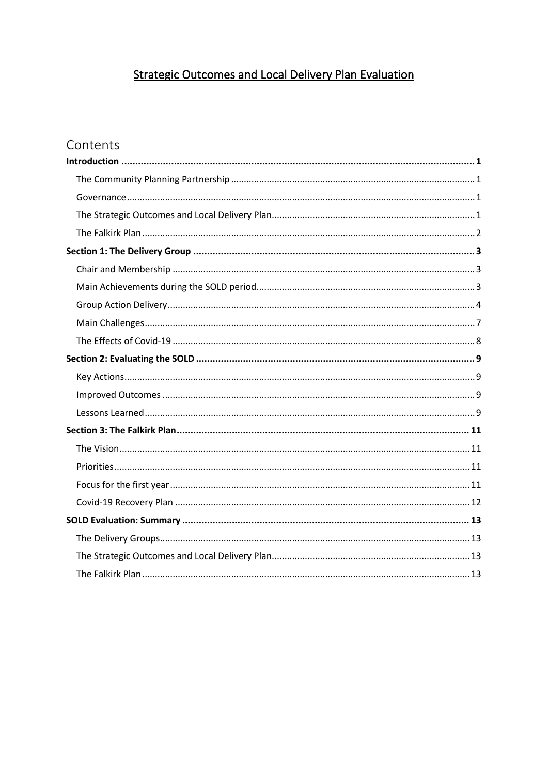# **Strategic Outcomes and Local Delivery Plan Evaluation**

# Contents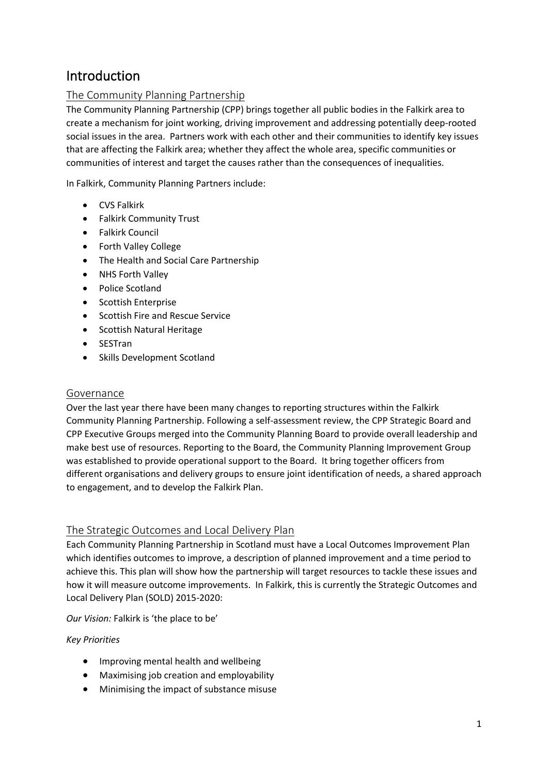# <span id="page-1-0"></span>Introduction

# <span id="page-1-1"></span>The Community Planning Partnership

The Community Planning Partnership (CPP) brings together all public bodies in the Falkirk area to create a mechanism for joint working, driving improvement and addressing potentially deep-rooted social issues in the area. Partners work with each other and their communities to identify key issues that are affecting the Falkirk area; whether they affect the whole area, specific communities or communities of interest and target the causes rather than the consequences of inequalities.

In Falkirk, Community Planning Partners include:

- CVS Falkirk
- Falkirk Community Trust
- Falkirk Council
- Forth Valley College
- The Health and Social Care Partnership
- NHS Forth Valley
- Police Scotland
- Scottish Enterprise
- Scottish Fire and Rescue Service
- Scottish Natural Heritage
- SESTran
- Skills Development Scotland

## <span id="page-1-2"></span>Governance

Over the last year there have been many changes to reporting structures within the Falkirk Community Planning Partnership. Following a self-assessment review, the CPP Strategic Board and CPP Executive Groups merged into the Community Planning Board to provide overall leadership and make best use of resources. Reporting to the Board, the Community Planning Improvement Group was established to provide operational support to the Board. It bring together officers from different organisations and delivery groups to ensure joint identification of needs, a shared approach to engagement, and to develop the Falkirk Plan.

## <span id="page-1-3"></span>The Strategic Outcomes and Local Delivery Plan

Each Community Planning Partnership in Scotland must have a Local Outcomes Improvement Plan which identifies outcomes to improve, a description of planned improvement and a time period to achieve this. This plan will show how the partnership will target resources to tackle these issues and how it will measure outcome improvements. In Falkirk, this is currently the Strategic Outcomes and Local Delivery Plan (SOLD) 2015-2020:

*Our Vision:* Falkirk is 'the place to be'

## *Key Priorities*

- Improving mental health and wellbeing
- Maximising job creation and employability
- Minimising the impact of substance misuse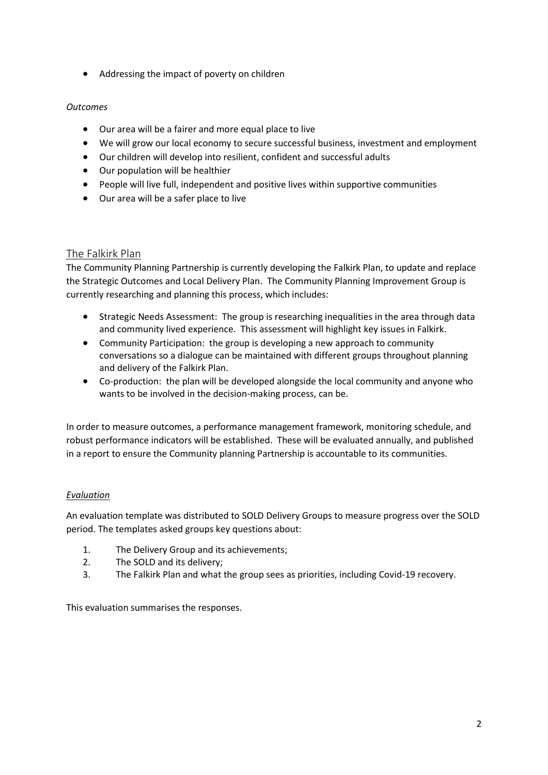• Addressing the impact of poverty on children

## *Outcomes*

- Our area will be a fairer and more equal place to live
- We will grow our local economy to secure successful business, investment and employment
- Our children will develop into resilient, confident and successful adults
- Our population will be healthier
- People will live full, independent and positive lives within supportive communities
- Our area will be a safer place to live

# <span id="page-2-0"></span>The Falkirk Plan

The Community Planning Partnership is currently developing the Falkirk Plan, to update and replace the Strategic Outcomes and Local Delivery Plan. The Community Planning Improvement Group is currently researching and planning this process, which includes:

- Strategic Needs Assessment: The group is researching inequalities in the area through data and community lived experience. This assessment will highlight key issues in Falkirk.
- Community Participation: the group is developing a new approach to community conversations so a dialogue can be maintained with different groups throughout planning and delivery of the Falkirk Plan.
- Co-production: the plan will be developed alongside the local community and anyone who wants to be involved in the decision-making process, can be.

In order to measure outcomes, a performance management framework, monitoring schedule, and robust performance indicators will be established. These will be evaluated annually, and published in a report to ensure the Community planning Partnership is accountable to its communities.

## *Evaluation*

An evaluation template was distributed to SOLD Delivery Groups to measure progress over the SOLD period. The templates asked groups key questions about:

- 1. The Delivery Group and its achievements;
- 2. The SOLD and its delivery;
- 3. The Falkirk Plan and what the group sees as priorities, including Covid-19 recovery.

This evaluation summarises the responses.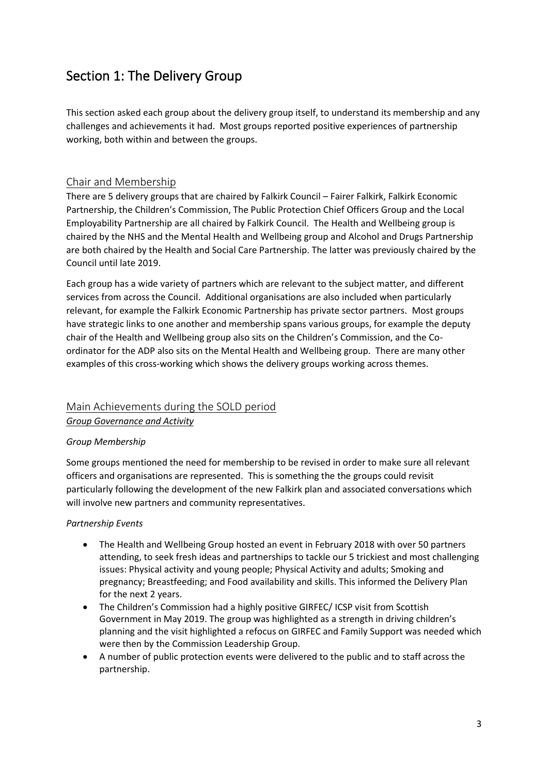# <span id="page-3-0"></span>Section 1: The Delivery Group

This section asked each group about the delivery group itself, to understand its membership and any challenges and achievements it had. Most groups reported positive experiences of partnership working, both within and between the groups.

# <span id="page-3-1"></span>Chair and Membership

There are 5 delivery groups that are chaired by Falkirk Council – Fairer Falkirk, Falkirk Economic Partnership, the Children's Commission, The Public Protection Chief Officers Group and the Local Employability Partnership are all chaired by Falkirk Council. The Health and Wellbeing group is chaired by the NHS and the Mental Health and Wellbeing group and Alcohol and Drugs Partnership are both chaired by the Health and Social Care Partnership. The latter was previously chaired by the Council until late 2019.

Each group has a wide variety of partners which are relevant to the subject matter, and different services from across the Council. Additional organisations are also included when particularly relevant, for example the Falkirk Economic Partnership has private sector partners. Most groups have strategic links to one another and membership spans various groups, for example the deputy chair of the Health and Wellbeing group also sits on the Children's Commission, and the Coordinator for the ADP also sits on the Mental Health and Wellbeing group. There are many other examples of this cross-working which shows the delivery groups working across themes.

# <span id="page-3-2"></span>Main Achievements during the SOLD period *Group Governance and Activity*

## *Group Membership*

Some groups mentioned the need for membership to be revised in order to make sure all relevant officers and organisations are represented. This is something the the groups could revisit particularly following the development of the new Falkirk plan and associated conversations which will involve new partners and community representatives.

## *Partnership Events*

- The Health and Wellbeing Group hosted an event in February 2018 with over 50 partners attending, to seek fresh ideas and partnerships to tackle our 5 trickiest and most challenging issues: Physical activity and young people; Physical Activity and adults; Smoking and pregnancy; Breastfeeding; and Food availability and skills. This informed the Delivery Plan for the next 2 years.
- The Children's Commission had a highly positive GIRFEC/ ICSP visit from Scottish Government in May 2019. The group was highlighted as a strength in driving children's planning and the visit highlighted a refocus on GIRFEC and Family Support was needed which were then by the Commission Leadership Group.
- A number of public protection events were delivered to the public and to staff across the partnership.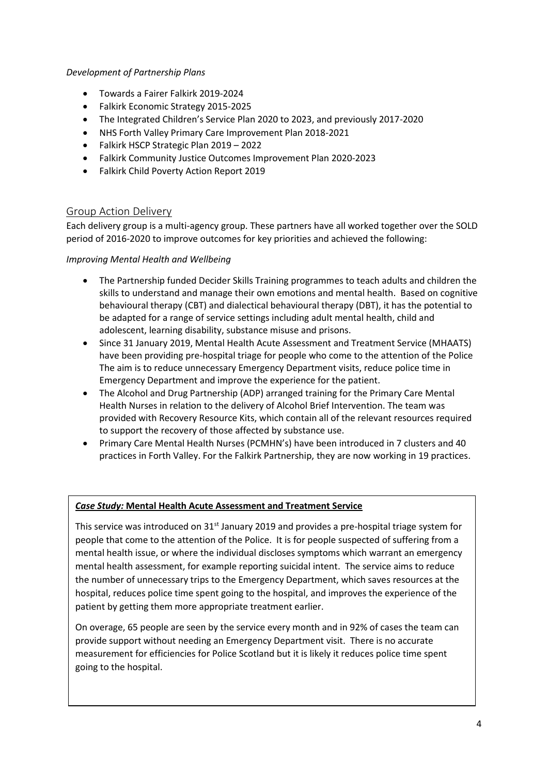### *Development of Partnership Plans*

- Towards a Fairer Falkirk 2019-2024
- Falkirk Economic Strategy 2015-2025
- The Integrated Children's Service Plan 2020 to 2023, and previously 2017-2020
- NHS Forth Valley Primary Care Improvement Plan 2018-2021
- Falkirk HSCP Strategic Plan 2019 2022
- Falkirk Community Justice Outcomes Improvement Plan 2020-2023
- Falkirk Child Poverty Action Report 2019

## <span id="page-4-0"></span>Group Action Delivery

Each delivery group is a multi-agency group. These partners have all worked together over the SOLD period of 2016-2020 to improve outcomes for key priorities and achieved the following:

## *Improving Mental Health and Wellbeing*

- The Partnership funded Decider Skills Training programmes to teach adults and children the skills to understand and manage their own emotions and mental health. Based on cognitive behavioural therapy (CBT) and dialectical behavioural therapy (DBT), it has the potential to be adapted for a range of service settings including adult mental health, child and adolescent, learning disability, substance misuse and prisons.
- Since 31 January 2019, Mental Health Acute Assessment and Treatment Service (MHAATS) have been providing pre-hospital triage for people who come to the attention of the Police The aim is to reduce unnecessary Emergency Department visits, reduce police time in Emergency Department and improve the experience for the patient.
- The Alcohol and Drug Partnership (ADP) arranged training for the Primary Care Mental Health Nurses in relation to the delivery of Alcohol Brief Intervention. The team was provided with Recovery Resource Kits, which contain all of the relevant resources required to support the recovery of those affected by substance use.
- Primary Care Mental Health Nurses (PCMHN's) have been introduced in 7 clusters and 40 practices in Forth Valley. For the Falkirk Partnership, they are now working in 19 practices.

## *Case Study:* **Mental Health Acute Assessment and Treatment Service**

This service was introduced on 31<sup>st</sup> January 2019 and provides a pre-hospital triage system for people that come to the attention of the Police. It is for people suspected of suffering from a mental health issue, or where the individual discloses symptoms which warrant an emergency mental health assessment, for example reporting suicidal intent. The service aims to reduce the number of unnecessary trips to the Emergency Department, which saves resources at the hospital, reduces police time spent going to the hospital, and improves the experience of the patient by getting them more appropriate treatment earlier.

On overage, 65 people are seen by the service every month and in 92% of cases the team can provide support without needing an Emergency Department visit. There is no accurate measurement for efficiencies for Police Scotland but it is likely it reduces police time spent going to the hospital.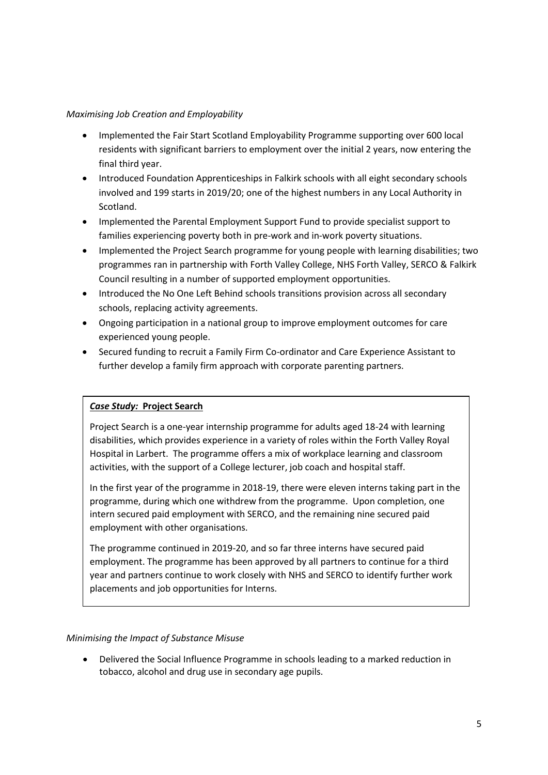#### *Maximising Job Creation and Employability*

- Implemented the Fair Start Scotland Employability Programme supporting over 600 local residents with significant barriers to employment over the initial 2 years, now entering the final third year.
- Introduced Foundation Apprenticeships in Falkirk schools with all eight secondary schools involved and 199 starts in 2019/20; one of the highest numbers in any Local Authority in Scotland.
- Implemented the Parental Employment Support Fund to provide specialist support to families experiencing poverty both in pre-work and in-work poverty situations.
- Implemented the Project Search programme for young people with learning disabilities; two programmes ran in partnership with Forth Valley College, NHS Forth Valley, SERCO & Falkirk Council resulting in a number of supported employment opportunities.
- Introduced the No One Left Behind schools transitions provision across all secondary schools, replacing activity agreements.
- Ongoing participation in a national group to improve employment outcomes for care experienced young people.
- Secured funding to recruit a Family Firm Co-ordinator and Care Experience Assistant to further develop a family firm approach with corporate parenting partners.

## *Case Study:* **Project Search**

Project Search is a one-year internship programme for adults aged 18-24 with learning disabilities, which provides experience in a variety of roles within the Forth Valley Royal Hospital in Larbert. The programme offers a mix of workplace learning and classroom activities, with the support of a College lecturer, job coach and hospital staff.

In the first year of the programme in 2018-19, there were eleven interns taking part in the programme, during which one withdrew from the programme. Upon completion, one intern secured paid employment with SERCO, and the remaining nine secured paid employment with other organisations.

The programme continued in 2019-20, and so far three interns have secured paid employment. The programme has been approved by all partners to continue for a third year and partners continue to work closely with NHS and SERCO to identify further work placements and job opportunities for Interns.

#### *Minimising the Impact of Substance Misuse*

• Delivered the Social Influence Programme in schools leading to a marked reduction in tobacco, alcohol and drug use in secondary age pupils.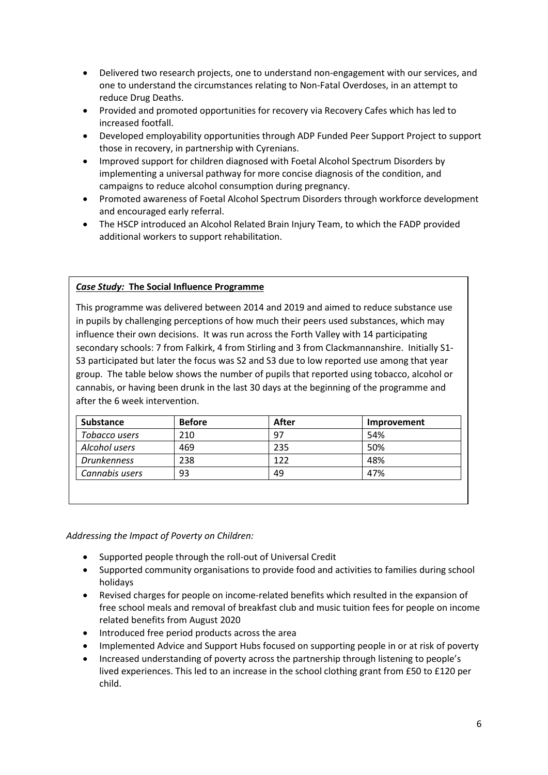- Delivered two research projects, one to understand non-engagement with our services, and one to understand the circumstances relating to Non-Fatal Overdoses, in an attempt to reduce Drug Deaths.
- Provided and promoted opportunities for recovery via Recovery Cafes which has led to increased footfall.
- Developed employability opportunities through ADP Funded Peer Support Project to support those in recovery, in partnership with Cyrenians.
- Improved support for children diagnosed with Foetal Alcohol Spectrum Disorders by implementing a universal pathway for more concise diagnosis of the condition, and campaigns to reduce alcohol consumption during pregnancy.
- Promoted awareness of Foetal Alcohol Spectrum Disorders through workforce development and encouraged early referral.
- The HSCP introduced an Alcohol Related Brain Injury Team, to which the FADP provided additional workers to support rehabilitation.

#### *Case Study:* **The Social Influence Programme**

This programme was delivered between 2014 and 2019 and aimed to reduce substance use in pupils by challenging perceptions of how much their peers used substances, which may influence their own decisions. It was run across the Forth Valley with 14 participating secondary schools: 7 from Falkirk, 4 from Stirling and 3 from Clackmannanshire. Initially S1- S3 participated but later the focus was S2 and S3 due to low reported use among that year group. The table below shows the number of pupils that reported using tobacco, alcohol or cannabis, or having been drunk in the last 30 days at the beginning of the programme and after the 6 week intervention.

| <b>Substance</b>   | <b>Before</b> | After | Improvement |
|--------------------|---------------|-------|-------------|
| Tobacco users      | 210           | 97    | 54%         |
| Alcohol users      | 469           | 235   | 50%         |
| <b>Drunkenness</b> | 238           | 122   | 48%         |
| Cannabis users     | 93            | 49    | 47%         |

*Addressing the Impact of Poverty on Children:*

- Supported people through the roll-out of Universal Credit
- Supported community organisations to provide food and activities to families during school holidays
- Revised charges for people on income-related benefits which resulted in the expansion of free school meals and removal of breakfast club and music tuition fees for people on income related benefits from August 2020
- Introduced free period products across the area
- Implemented Advice and Support Hubs focused on supporting people in or at risk of poverty
- Increased understanding of poverty across the partnership through listening to people's lived experiences. This led to an increase in the school clothing grant from £50 to £120 per child.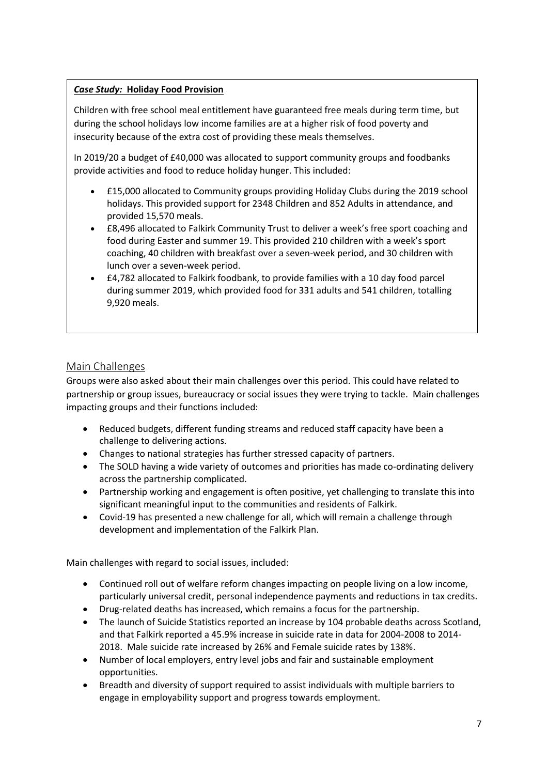# *Case Study:* **Holiday Food Provision**

Children with free school meal entitlement have guaranteed free meals during term time, but during the school holidays low income families are at a higher risk of food poverty and insecurity because of the extra cost of providing these meals themselves.

In 2019/20 a budget of £40,000 was allocated to support community groups and foodbanks provide activities and food to reduce holiday hunger. This included:

- £15,000 allocated to Community groups providing Holiday Clubs during the 2019 school holidays. This provided support for 2348 Children and 852 Adults in attendance, and provided 15,570 meals.
- £8,496 allocated to Falkirk Community Trust to deliver a week's free sport coaching and food during Easter and summer 19. This provided 210 children with a week's sport coaching, 40 children with breakfast over a seven-week period, and 30 children with lunch over a seven-week period.
- £4,782 allocated to Falkirk foodbank, to provide families with a 10 day food parcel during summer 2019, which provided food for 331 adults and 541 children, totalling 9,920 meals.

# <span id="page-7-0"></span>Main Challenges

Groups were also asked about their main challenges over this period. This could have related to partnership or group issues, bureaucracy or social issues they were trying to tackle. Main challenges impacting groups and their functions included:

- Reduced budgets, different funding streams and reduced staff capacity have been a challenge to delivering actions.
- Changes to national strategies has further stressed capacity of partners.
- The SOLD having a wide variety of outcomes and priorities has made co-ordinating delivery across the partnership complicated.
- Partnership working and engagement is often positive, yet challenging to translate this into significant meaningful input to the communities and residents of Falkirk.
- Covid-19 has presented a new challenge for all, which will remain a challenge through development and implementation of the Falkirk Plan.

Main challenges with regard to social issues, included:

- Continued roll out of welfare reform changes impacting on people living on a low income, particularly universal credit, personal independence payments and reductions in tax credits.
- Drug-related deaths has increased, which remains a focus for the partnership.
- The launch of Suicide Statistics reported an increase by 104 probable deaths across Scotland, and that Falkirk reported a 45.9% increase in suicide rate in data for 2004-2008 to 2014- 2018. Male suicide rate increased by 26% and Female suicide rates by 138%.
- Number of local employers, entry level jobs and fair and sustainable employment opportunities.
- Breadth and diversity of support required to assist individuals with multiple barriers to engage in employability support and progress towards employment.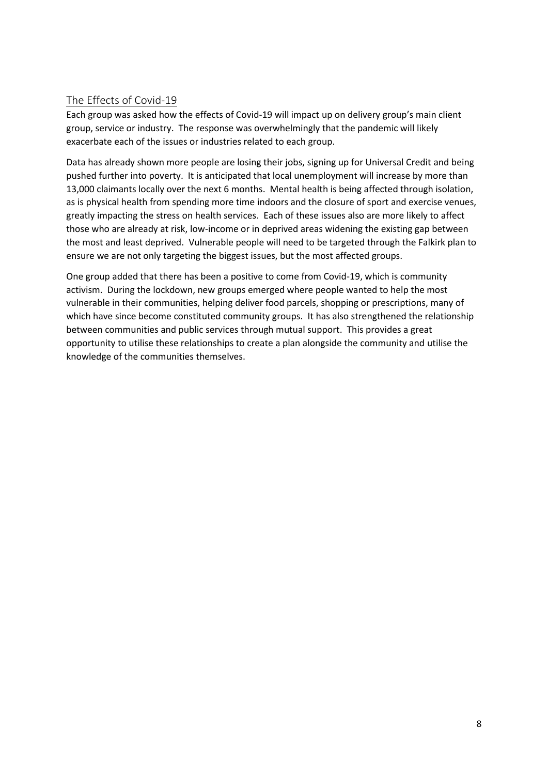# <span id="page-8-0"></span>The Effects of Covid-19

Each group was asked how the effects of Covid-19 will impact up on delivery group's main client group, service or industry. The response was overwhelmingly that the pandemic will likely exacerbate each of the issues or industries related to each group.

Data has already shown more people are losing their jobs, signing up for Universal Credit and being pushed further into poverty. It is anticipated that local unemployment will increase by more than 13,000 claimants locally over the next 6 months. Mental health is being affected through isolation, as is physical health from spending more time indoors and the closure of sport and exercise venues, greatly impacting the stress on health services. Each of these issues also are more likely to affect those who are already at risk, low-income or in deprived areas widening the existing gap between the most and least deprived. Vulnerable people will need to be targeted through the Falkirk plan to ensure we are not only targeting the biggest issues, but the most affected groups.

One group added that there has been a positive to come from Covid-19, which is community activism. During the lockdown, new groups emerged where people wanted to help the most vulnerable in their communities, helping deliver food parcels, shopping or prescriptions, many of which have since become constituted community groups. It has also strengthened the relationship between communities and public services through mutual support. This provides a great opportunity to utilise these relationships to create a plan alongside the community and utilise the knowledge of the communities themselves.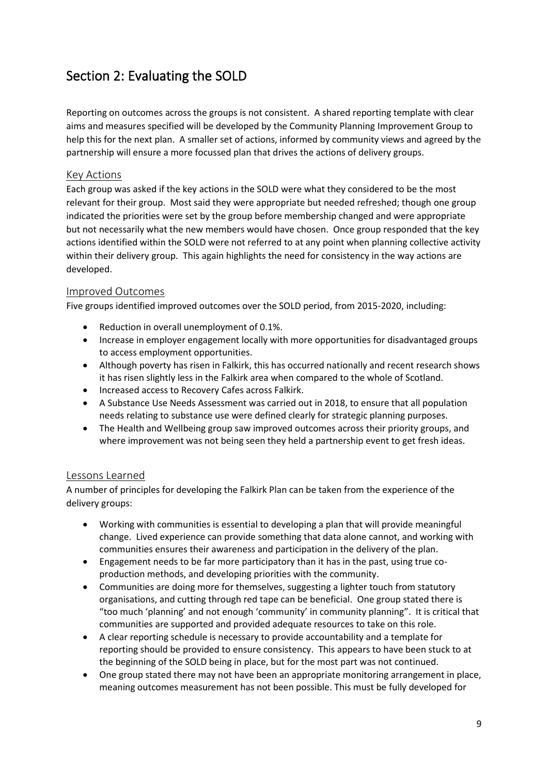# <span id="page-9-0"></span>Section 2: Evaluating the SOLD

Reporting on outcomes across the groups is not consistent. A shared reporting template with clear aims and measures specified will be developed by the Community Planning Improvement Group to help this for the next plan. A smaller set of actions, informed by community views and agreed by the partnership will ensure a more focussed plan that drives the actions of delivery groups.

## <span id="page-9-1"></span>Key Actions

Each group was asked if the key actions in the SOLD were what they considered to be the most relevant for their group. Most said they were appropriate but needed refreshed; though one group indicated the priorities were set by the group before membership changed and were appropriate but not necessarily what the new members would have chosen. Once group responded that the key actions identified within the SOLD were not referred to at any point when planning collective activity within their delivery group. This again highlights the need for consistency in the way actions are developed.

## <span id="page-9-2"></span>Improved Outcomes

Five groups identified improved outcomes over the SOLD period, from 2015-2020, including:

- Reduction in overall unemployment of 0.1%.
- Increase in employer engagement locally with more opportunities for disadvantaged groups to access employment opportunities.
- Although poverty has risen in Falkirk, this has occurred nationally and recent research shows it has risen slightly less in the Falkirk area when compared to the whole of Scotland.
- Increased access to Recovery Cafes across Falkirk.
- A Substance Use Needs Assessment was carried out in 2018, to ensure that all population needs relating to substance use were defined clearly for strategic planning purposes.
- The Health and Wellbeing group saw improved outcomes across their priority groups, and where improvement was not being seen they held a partnership event to get fresh ideas.

## <span id="page-9-3"></span>Lessons Learned

A number of principles for developing the Falkirk Plan can be taken from the experience of the delivery groups:

- Working with communities is essential to developing a plan that will provide meaningful change. Lived experience can provide something that data alone cannot, and working with communities ensures their awareness and participation in the delivery of the plan.
- Engagement needs to be far more participatory than it has in the past, using true coproduction methods, and developing priorities with the community.
- Communities are doing more for themselves, suggesting a lighter touch from statutory organisations, and cutting through red tape can be beneficial. One group stated there is "too much 'planning' and not enough 'community' in community planning". It is critical that communities are supported and provided adequate resources to take on this role.
- A clear reporting schedule is necessary to provide accountability and a template for reporting should be provided to ensure consistency. This appears to have been stuck to at the beginning of the SOLD being in place, but for the most part was not continued.
- One group stated there may not have been an appropriate monitoring arrangement in place, meaning outcomes measurement has not been possible. This must be fully developed for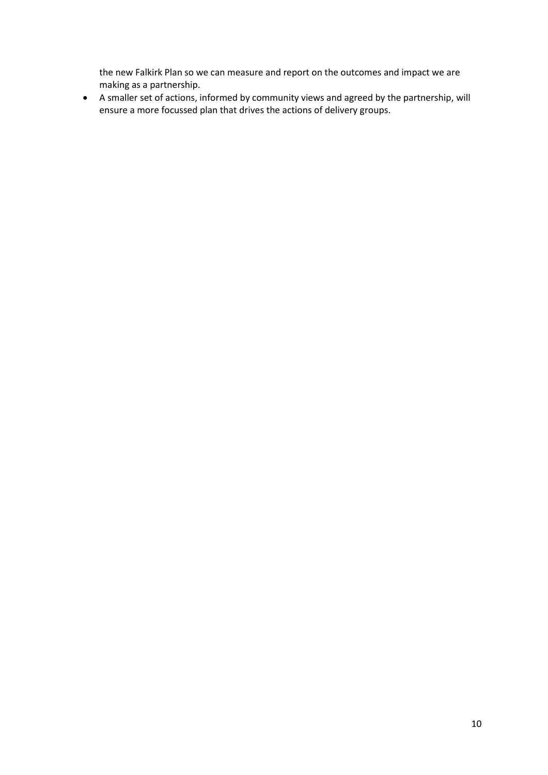the new Falkirk Plan so we can measure and report on the outcomes and impact we are making as a partnership.

• A smaller set of actions, informed by community views and agreed by the partnership, will ensure a more focussed plan that drives the actions of delivery groups.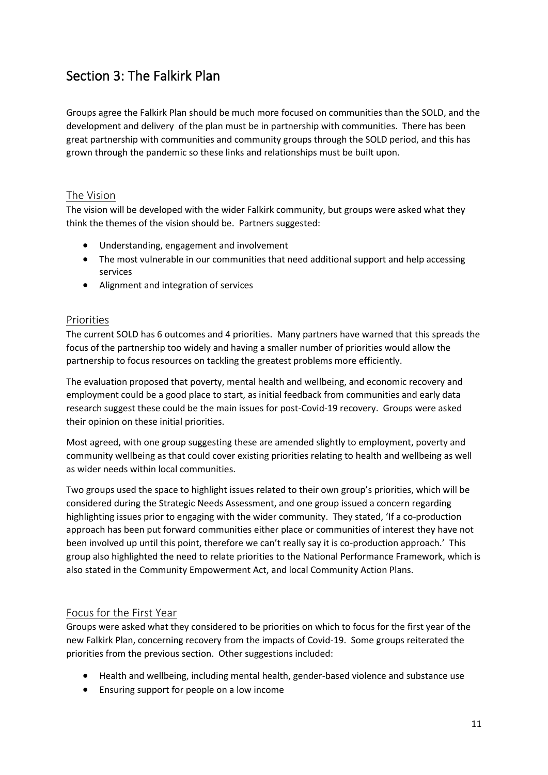# <span id="page-11-0"></span>Section 3: The Falkirk Plan

Groups agree the Falkirk Plan should be much more focused on communities than the SOLD, and the development and delivery of the plan must be in partnership with communities. There has been great partnership with communities and community groups through the SOLD period, and this has grown through the pandemic so these links and relationships must be built upon.

## <span id="page-11-1"></span>The Vision

The vision will be developed with the wider Falkirk community, but groups were asked what they think the themes of the vision should be. Partners suggested:

- Understanding, engagement and involvement
- The most vulnerable in our communities that need additional support and help accessing services
- Alignment and integration of services

## <span id="page-11-2"></span>Priorities

The current SOLD has 6 outcomes and 4 priorities. Many partners have warned that this spreads the focus of the partnership too widely and having a smaller number of priorities would allow the partnership to focus resources on tackling the greatest problems more efficiently.

The evaluation proposed that poverty, mental health and wellbeing, and economic recovery and employment could be a good place to start, as initial feedback from communities and early data research suggest these could be the main issues for post-Covid-19 recovery. Groups were asked their opinion on these initial priorities.

Most agreed, with one group suggesting these are amended slightly to employment, poverty and community wellbeing as that could cover existing priorities relating to health and wellbeing as well as wider needs within local communities.

Two groups used the space to highlight issues related to their own group's priorities, which will be considered during the Strategic Needs Assessment, and one group issued a concern regarding highlighting issues prior to engaging with the wider community. They stated, 'If a co-production approach has been put forward communities either place or communities of interest they have not been involved up until this point, therefore we can't really say it is co-production approach.' This group also highlighted the need to relate priorities to the National Performance Framework, which is also stated in the Community Empowerment Act, and local Community Action Plans.

# <span id="page-11-3"></span>Focus for the First Year

Groups were asked what they considered to be priorities on which to focus for the first year of the new Falkirk Plan, concerning recovery from the impacts of Covid-19. Some groups reiterated the priorities from the previous section. Other suggestions included:

- Health and wellbeing, including mental health, gender-based violence and substance use
- Ensuring support for people on a low income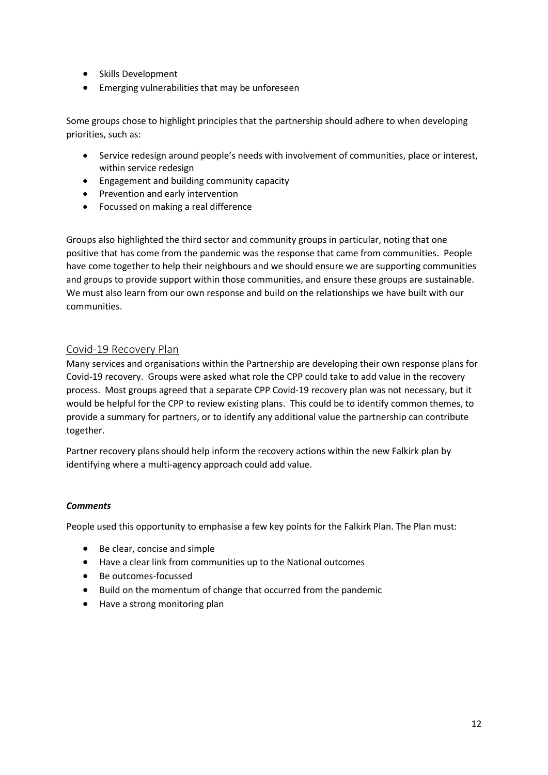- Skills Development
- Emerging vulnerabilities that may be unforeseen

Some groups chose to highlight principles that the partnership should adhere to when developing priorities, such as:

- Service redesign around people's needs with involvement of communities, place or interest, within service redesign
- Engagement and building community capacity
- Prevention and early intervention
- Focussed on making a real difference

Groups also highlighted the third sector and community groups in particular, noting that one positive that has come from the pandemic was the response that came from communities. People have come together to help their neighbours and we should ensure we are supporting communities and groups to provide support within those communities, and ensure these groups are sustainable. We must also learn from our own response and build on the relationships we have built with our communities.

## <span id="page-12-0"></span>Covid-19 Recovery Plan

Many services and organisations within the Partnership are developing their own response plans for Covid-19 recovery. Groups were asked what role the CPP could take to add value in the recovery process. Most groups agreed that a separate CPP Covid-19 recovery plan was not necessary, but it would be helpful for the CPP to review existing plans. This could be to identify common themes, to provide a summary for partners, or to identify any additional value the partnership can contribute together.

Partner recovery plans should help inform the recovery actions within the new Falkirk plan by identifying where a multi-agency approach could add value.

#### *Comments*

People used this opportunity to emphasise a few key points for the Falkirk Plan. The Plan must:

- Be clear, concise and simple
- Have a clear link from communities up to the National outcomes
- Be outcomes-focussed
- Build on the momentum of change that occurred from the pandemic
- Have a strong monitoring plan